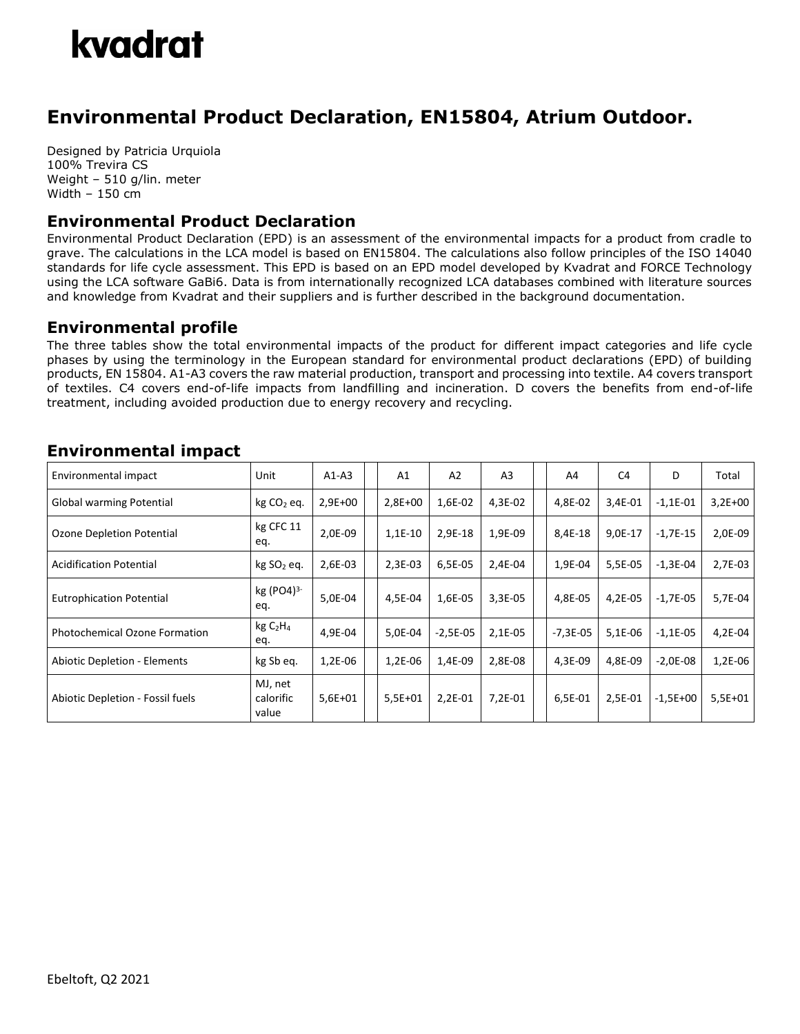

# **Environmental Product Declaration, EN15804, Atrium Outdoor.**

Designed by Patricia Urquiola 100% Trevira CS Weight – 510 g/lin. meter Width – 150 cm

### **Environmental Product Declaration**

Environmental Product Declaration (EPD) is an assessment of the environmental impacts for a product from cradle to grave. The calculations in the LCA model is based on EN15804. The calculations also follow principles of the ISO 14040 standards for life cycle assessment. This EPD is based on an EPD model developed by Kvadrat and FORCE Technology using the LCA software GaBi6. Data is from internationally recognized LCA databases combined with literature sources and knowledge from Kvadrat and their suppliers and is further described in the background documentation.

#### **Environmental profile**

The three tables show the total environmental impacts of the product for different impact categories and life cycle phases by using the terminology in the European standard for environmental product declarations (EPD) of building products, EN 15804. A1-A3 covers the raw material production, transport and processing into textile. A4 covers transport of textiles. C4 covers end-of-life impacts from landfilling and incineration. D covers the benefits from end-of-life treatment, including avoided production due to energy recovery and recycling.

| Environmental impact                 | Unit                                   | $A1-A3$   | A1        | A <sub>2</sub> | A <sub>3</sub> | A4         | C4      | D          | Total     |
|--------------------------------------|----------------------------------------|-----------|-----------|----------------|----------------|------------|---------|------------|-----------|
| Global warming Potential             | $kg CO2$ eq.                           | $2,9E+00$ | $2,8E+00$ | 1,6E-02        | 4,3E-02        | 4,8E-02    | 3,4E-01 | $-1,1E-01$ | $3,2E+00$ |
| Ozone Depletion Potential            | kg CFC 11<br>eq.                       | 2,0E-09   | $1,1E-10$ | 2,9E-18        | 1,9E-09        | 8,4E-18    | 9,0E-17 | $-1,7E-15$ | 2,0E-09   |
| <b>Acidification Potential</b>       | kg SO <sub>2</sub> eq.                 | 2,6E-03   | 2,3E-03   | 6,5E-05        | 2,4E-04        | 1,9E-04    | 5,5E-05 | $-1,3E-04$ | $2,7E-03$ |
| <b>Eutrophication Potential</b>      | kg $(PO4)^3$<br>eq.                    | 5,0E-04   | 4,5E-04   | 1,6E-05        | 3,3E-05        | 4,8E-05    | 4,2E-05 | $-1,7E-05$ | 5,7E-04   |
| <b>Photochemical Ozone Formation</b> | kgC <sub>2</sub> H <sub>4</sub><br>eq. | 4,9E-04   | 5,0E-04   | $-2,5E-05$     | 2,1E-05        | $-7,3E-05$ | 5,1E-06 | $-1,1E-05$ | 4,2E-04   |
| <b>Abiotic Depletion - Elements</b>  | kg Sb eq.                              | 1,2E-06   | 1,2E-06   | 1,4E-09        | 2,8E-08        | 4,3E-09    | 4,8E-09 | $-2,0E-08$ | $1,2E-06$ |
| Abiotic Depletion - Fossil fuels     | MJ, net<br>calorific<br>value          | $5,6E+01$ | $5,5E+01$ | 2,2E-01        | 7,2E-01        | 6,5E-01    | 2,5E-01 | $-1,5E+00$ | $5,5E+01$ |

## **Environmental impact**